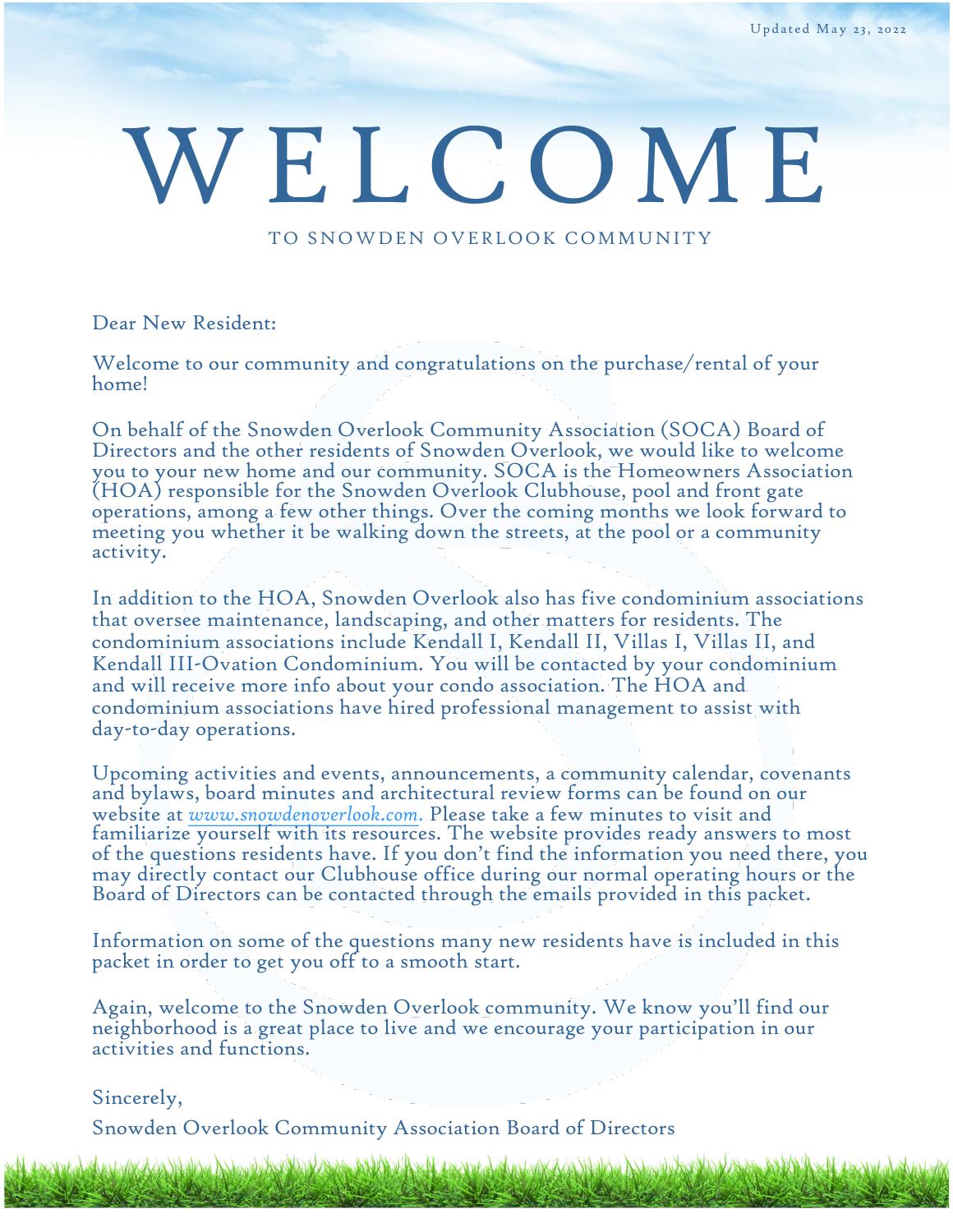# WELCOME

TO SNOWDEN OVERLOOK COMMUNITY

### Dear New Resident:

Welcome to our community and congratulations on the purchase/rental of your home!

On behalf of the Snowden Overlook Community Association (SOCA) Board of Directors and the other residents of Snowden Overlook, we would like to welcome you to your new home and our community. SOCA is the Homeowners Association (HOA) responsible for the Snowden Overlook Clubhouse, pool and front gate operations, among a few other things. Over the coming months we look forward to meeting you whether it be walking down the streets, at the pool or a community activity.

In addition to the HOA, Snowden Overlook also has five condominium associations that oversee maintenance, landscaping, and other matters for residents. The condominium associations include Kendall I, Kendall II, Villas I, Villas II, and Kendall III-Ovation Condominium. You will be contacted by your condominium and will receive more info about your condo association. The HOA and condominium associations have hired professional management to assist with day-to-day operations.

Upcoming activities and events, announcements, a community calendar, covenants and bylaws, board minutes and architectural review forms can be found on our website at *[www.snowdenoverlook.com](http://snowdenoverlook.com/)*. Please take a few minutes to visit and familiarize yourself with its resources. The website provides ready answers to most of the questions residents have. If you don't find the information you need there, you may directly contact our Clubhouse office during our normal operating hours or the Board of Directors can be contacted through the emails provided in this packet.

Information on some of the questions many new residents have is included in this packet in order to get you off to a smooth start.

Again, welcome to the Snowden Overlook community. We know you'll find our neighborhood is a great place to live and we encourage your participation in our activities and functions.

mery ayang digitar ayang kalawang digitar dan kalawang kalawang kalawang kalawang digitar sa dan sang kalawang

Sincerely,

Snowden Overlook Community Association Board of Directors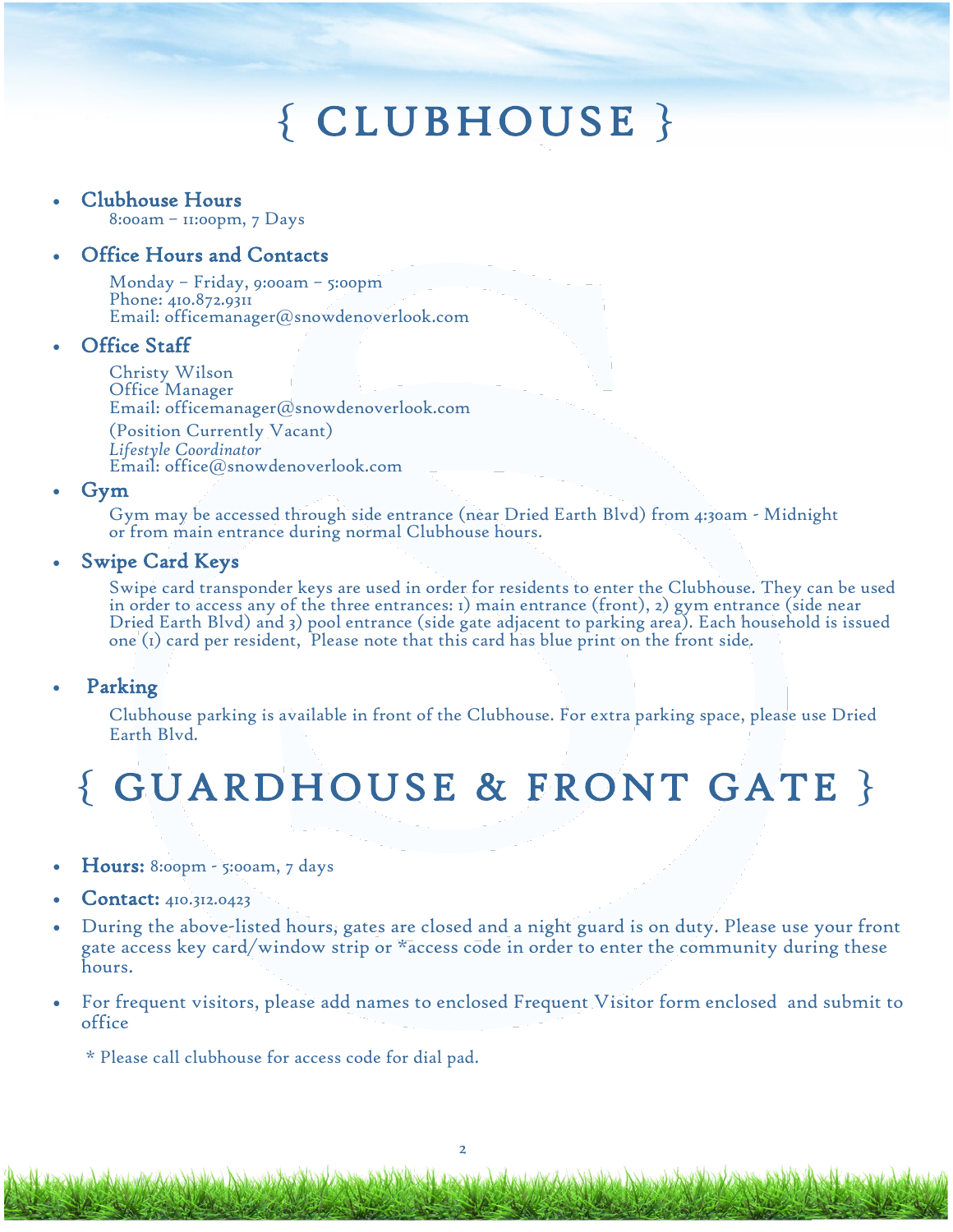# { CLUBHOUSE }

### • Clubhouse Hours

8:00am – 11:00pm, 7 Days

### • Office Hours and Contacts

Monday – Friday, 9:00am – 5:00pm Phone: 410.872.9311 Email: [officemanager@snowdenoverlook.com](mailto:officemanager@snowdenoverlook.com)

### **Office Staff**

Christy Wilson Office Manager Email: [officemanager@snowdenoverlo](mailto:office@snowdenoverlook.com)ok.com (Position Currently Vacant)

*Lifestyle Coordinator*  Email: [office@snowdenoverlook.com](mailto:officemanager@snowdenoverlook.com) 

### • Gym

Gym may be accessed through side entrance (near Dried Earth Blvd) from 4:30am - Midnight or from main entrance during normal Clubhouse hours.

### • Swipe Card Keys

Swipe card transponder keys are used in order for residents to enter the Clubhouse. They can be used in order to access any of the three entrances: 1) main entrance (front), 2) gym entrance (side near Dried Earth Blvd) and 3) pool entrance (side gate adjacent to parking area). Each household is issued one (1) card per resident, Please note that this card has blue print on the front side.

### • Parking

Clubhouse parking is available in front of the Clubhouse. For extra parking space, please use Dried Earth Blvd.

## { GUARDHOUSE & FRONT GATE }

- Hours: 8:00pm 5:00am, 7 days
- Contact: 410.312.0423
- During the above-listed hours, gates are closed and a night guard is on duty. Please use your front gate access key card/window strip or \*access code in order to enter the community during these hours.
- For frequent visitors, please add names to enclosed Frequent Visitor form enclosed and submit to office

\* Please call clubhouse for access code for dial pad.

King Rudenwell And Black

AXI LEXIVI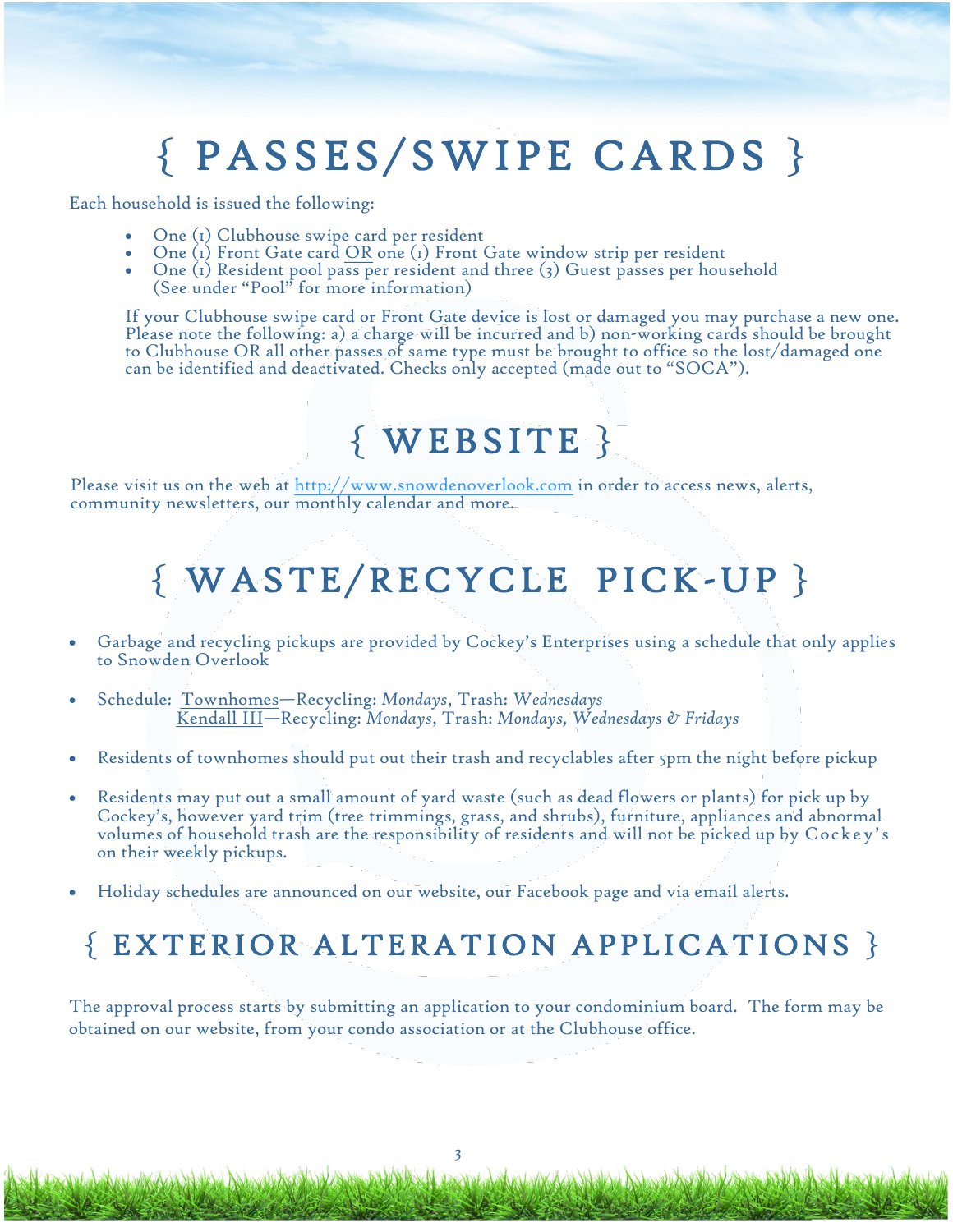# { PASSES/SWIPE CARDS }

Each household is issued the following:

- One (1) Clubhouse swipe card per resident
- One (1) Front Gate card OR one (1) Front Gate window strip per resident
- One (1) Resident pool pass per resident and three (3) Guest passes per household (See under "Pool" for more information)

If your Clubhouse swipe card or Front Gate device is lost or damaged you may purchase a new one. Please note the following: a) a charge will be incurred and b) non-working cards should be brought to Clubhouse OR all other passes of same type must be brought to office so the lost/damaged one can be identified and deactivated. Checks only accepted (made out to "SOCA").

### { WEBSITE }

Please visit us on the web at<http://www.snowdenoverlook.com> in order to access news, alerts, community newsletters, our monthly calendar and more.

### { WASTE/RECYCLE PICK-UP }

- Garbage and recycling pickups are provided by Cockey's Enterprises using a schedule that only applies to Snowden Overlook
- Schedule: Townhomes—Recycling: *Mondays*, Trash: *Wednesdays* Kendall III—Recycling: *Mondays*, Trash: *Mondays, Wednesdays & Fridays*
- Residents of townhomes should put out their trash and recyclables after 5pm the night before pickup
- Residents may put out a small amount of yard waste (such as dead flowers or plants) for pick up by Cockey's, however yard trim (tree trimmings, grass, and shrubs), furniture, appliances and abnormal volumes of household trash are the responsibility of residents and will not be picked up by Cockey's on their weekly pickups.
- Holiday schedules are announced on our website, our Facebook page and via email alerts.

### { EXTERIOR ALTERATION APPLICATIONS }

The approval process starts by submitting an application to your condominium board. The form may be obtained on our website, from your condo association or at the Clubhouse office.

3

**Ax A Lexhilor** 

Alang Andrawal Barto Barto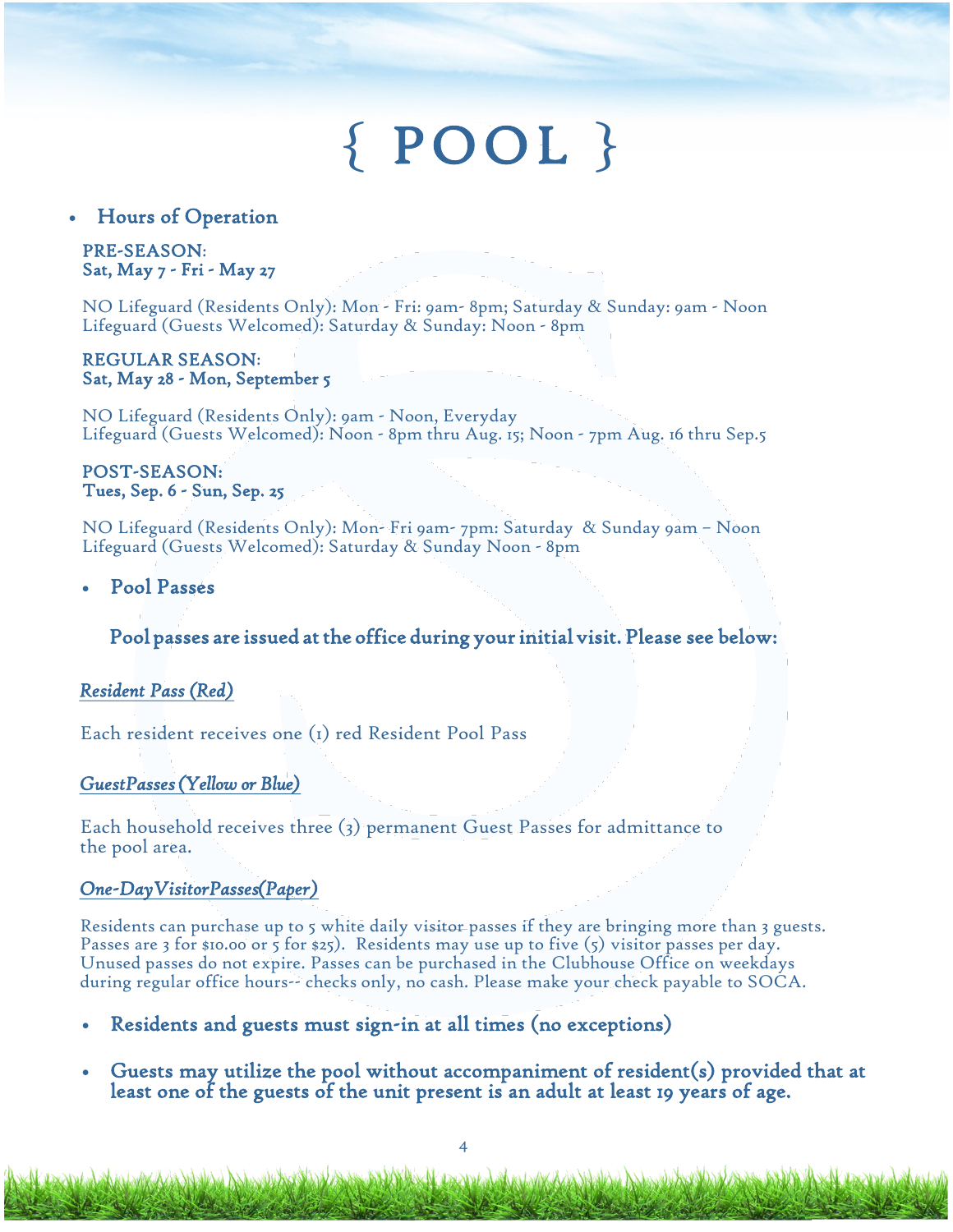# { POOL }

### • Hours of Operation

### PRE-SEASON: Sat, May 7 - Fri - May 27

NO Lifeguard (Residents Only): Mon - Fri: 9am- 8pm; Saturday & Sunday: 9am - Noon Lifeguard (Guests Welcomed): Saturday & Sunday: Noon - 8pm

#### REGULAR SEASON: Sat, May 28 - Mon, September 5

NO Lifeguard (Residents Only): 9am - Noon, Everyday Lifeguard (Guests Welcomed): Noon - 8pm thru Aug. 15; Noon - 7pm Aug. 16 thru Sep.5

#### POST-SEASON: Tues, Sep. 6 - Sun, Sep. 25

NO Lifeguard (Residents Only): Mon- Fri 9am- 7pm: Saturday & Sunday 9am – Noon Lifeguard (Guests Welcomed): Saturday & Sunday Noon - 8pm

• Pool Passes

### Pool passes are issued at the office during your initial visit. Please see below:

### *Resident Pass ( Red)*

Each resident receives one (1) red Resident Pool Pass

Maga Adden village Balland

### *Guest Passes (Yellow or Blue)*

Each household receives three (3) permanent Guest Passes for admittance to the pool area.

### *One-Day Visitor Passes (Paper)*

Residents can purchase up to 5 white daily visitor passes if they are bringing more than 3 guests. Passes are 3 for \$10.00 or 5 for \$25). Residents may use up to five (5) visitor passes per day. Unused passes do not expire. Passes can be purchased in the Clubhouse Office on weekdays during regular office hours-- checks only, no cash. Please make your check payable to SOCA.

- Residents and guests must sign-in at all times (no exceptions)
- Guests may utilize the pool without accompaniment of resident(s) provided that at least one of the guests of the unit present is an adult at least 19 years of age.

**NEW WARRANT** 

Azia Malakai Adama kata Mada Azia da Mala ya Kazaniza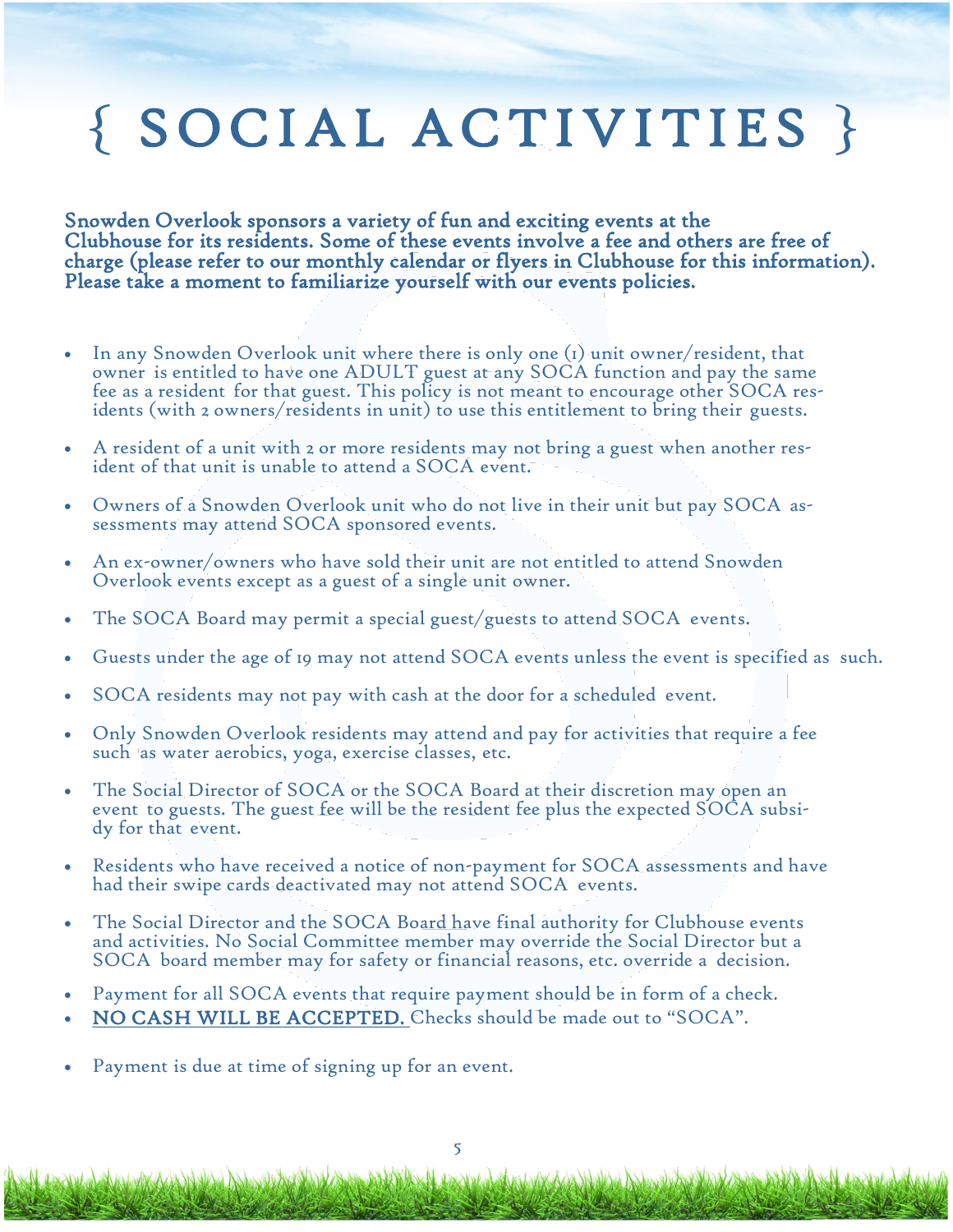# { SOCIAL ACTIVITIES }

Snowden Overlook sponsors a variety of fun and exciting events at the Clubhouse for its residents. Some of these events involve a fee and others are free of charge (please refer to our monthly calendar or flyers in Clubhouse for this information). Please take a moment to familiarize yourself with our events policies.

- In any Snowden Overlook unit where there is only one  $(i)$  unit owner/resident, that owner is entitled to have one ADULT guest at any SOCA function and pay the same fee as a resident for that guest. This policy is not meant to encourage other SOCA residents (with 2 owners/residents in unit) to use this entitlement to bring their guests.
- A resident of a unit with 2 or more residents may not bring a guest when another resident of that unit is unable to attend a SOCA event.
- Owners of a Snowden Overlook unit who do not live in their unit but pay SOCA assessments may attend SOCA sponsored events.
- An ex-owner/owners who have sold their unit are not entitled to attend Snowden Overlook events except as a guest of a single unit owner.
- The SOCA Board may permit a special guest/guests to attend SOCA events.
- Guests under the age of 19 may not attend SOCA events unless the event is specified as such.
- SOCA residents may not pay with cash at the door for a scheduled event.
- Only Snowden Overlook residents may attend and pay for activities that require a fee such as water aerobics, yoga, exercise classes, etc.
- The Social Director of SOCA or the SOCA Board at their discretion may open an event to guests. The guest fee will be the resident fee plus the expected SOCA subsidy for that event.
- Residents who have received a notice of non-payment for SOCA assessments and have had their swipe cards deactivated may not attend SOCA events.
- The Social Director and the SOCA Board have final authority for Clubhouse events and activities. No Social Committee member may override the Social Director but a SOCA board member may for safety or financial reasons, etc. override a decision.
- Payment for all SOCA events that require payment should be in form of a check.
- NO CASH WILL BE ACCEPTED. Checks should be made out to "SOCA".
- Payment is due at time of signing up for an event.

<u>a dolalkan Addonstruation (daga za</u>

ANDA Local de Maria And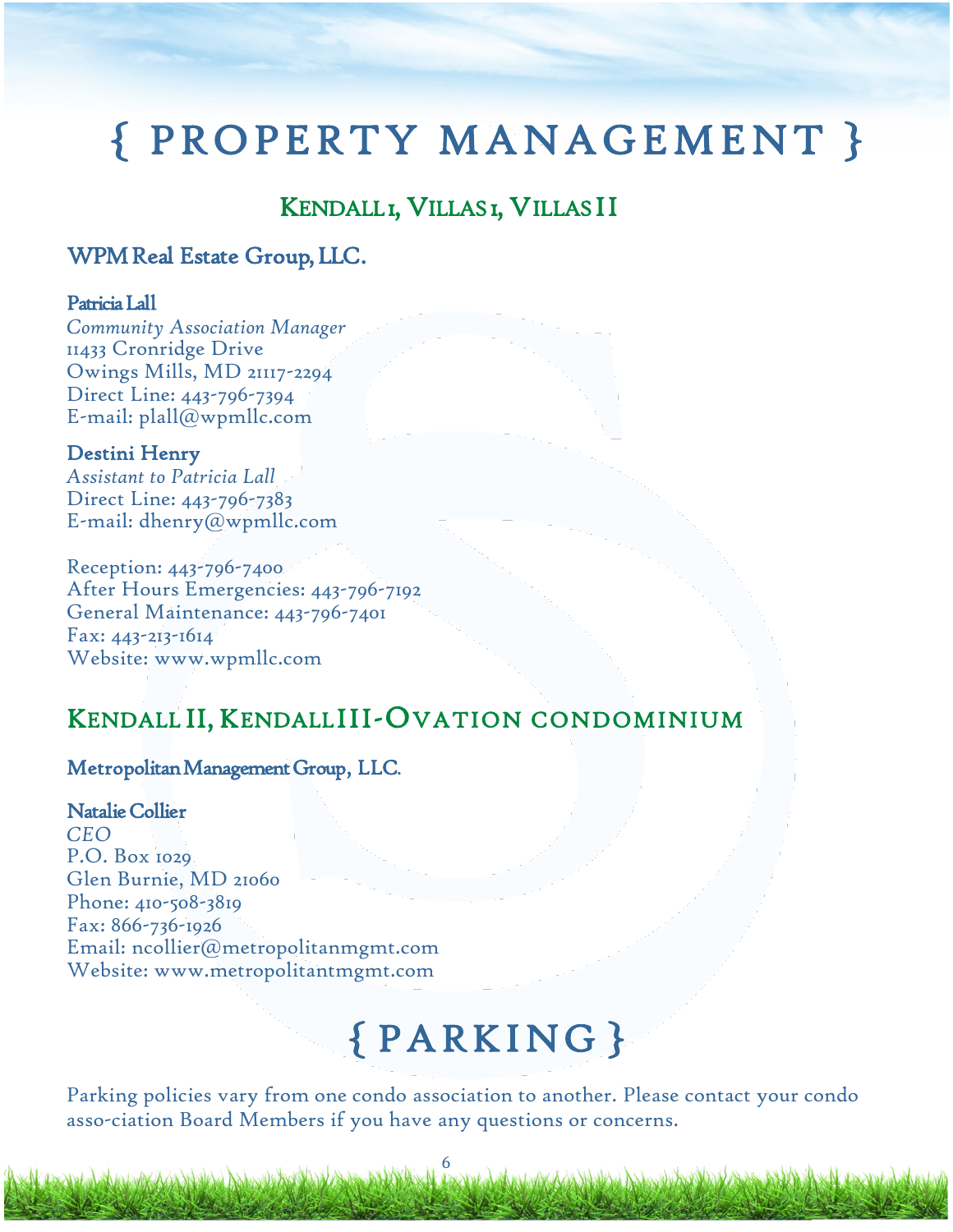# { PROPERTY MANAGEMENT }

### KENDALL I, VILLAS I, VILLAS I I

### WPM Real Estate Group, LLC.

### Patricia Lall

*Community Association Manager*  11433 Cronridge Drive Owings Mills, MD 21117-2294 Direct Line: 443-796-7394 E-mail: plall@wpmllc.com

### Destini Henry

*Assistant to Patricia Lall*  Direct Line: 443-796-7383 E-mail: dhenry@wpmllc.com

Reception: 443-796-7400 After Hours Emergencies: 443-796-7192 General Maintenance: 443-796-7401 Fax: 443-213-1614 Website: www.wpmllc.com

### KENDALL II, KENDALL III-OVATION CONDOMINIUM

### Metropolitan Management Group, LLC.

Natalie Collier *CEO*  P.O. Box 1029 Glen Burnie, MD 21060 Phone: 410-508-3819 Fax: 866-736-1926 Email: ncollier@metropolitanmgmt.com Website: www.metropolitantmgmt.com

# { PARKING }

KANA A ABASHA A MARA A LANE

Parking policies vary from one condo association to another. Please contact your condo asso-ciation Board Members if you have any questions or concerns.

6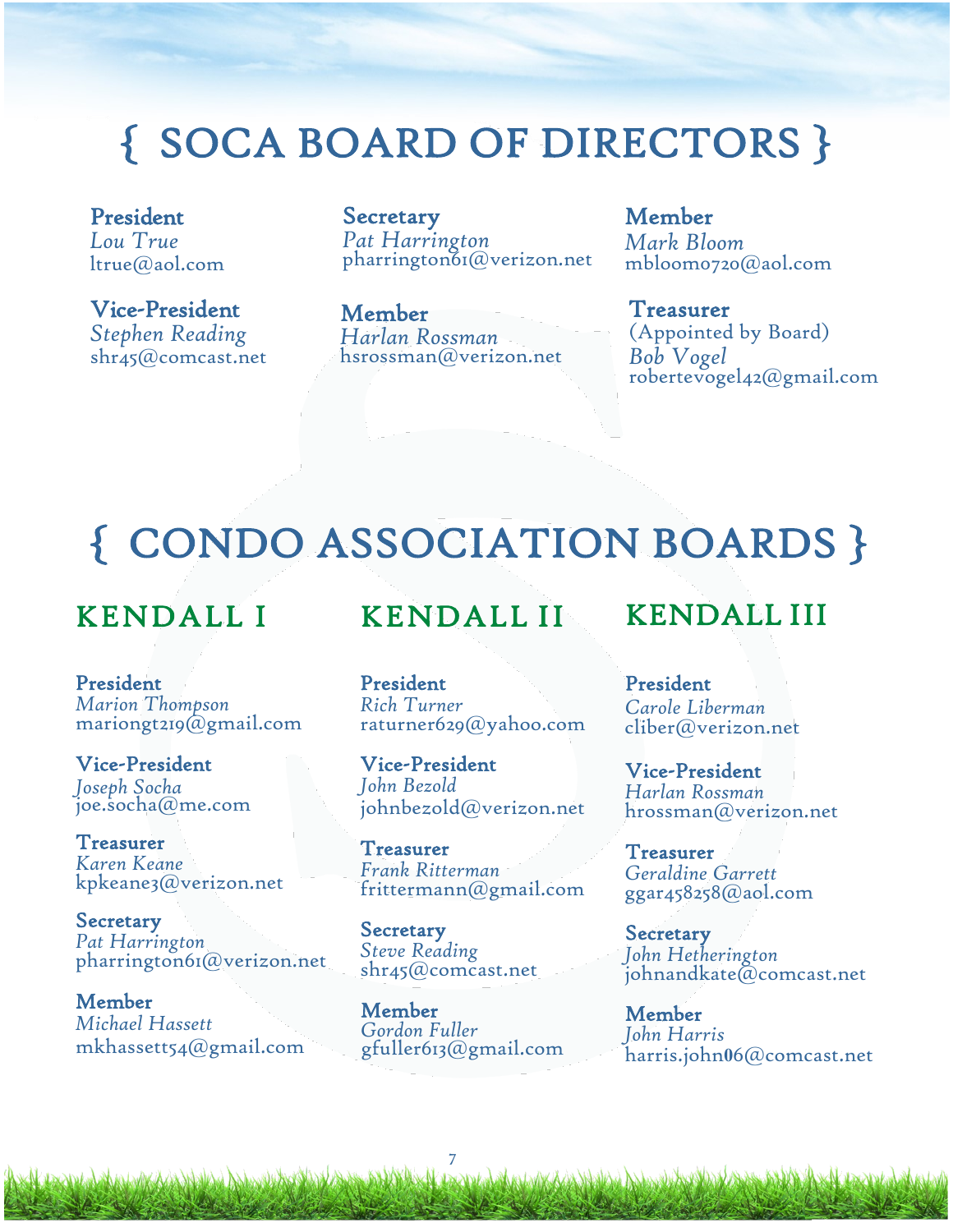# { SOCA BOARD OF DIRECTORS }

President *Lou True*  ltrue@aol.com

Vice-President *Stephen Reading* shr45@comcast.net

Secretary *Pat Harrington*  pharrington61@verizon.net

Member *Harlan Rossman* hsrossman@verizon.net

Member *Mark Bloom*  mbloom0720@aol.com

Treasurer (Appointed by Board) *Bob Vogel*  robertevogel42@gmail.com

# { CONDO ASSOCIATION BOARDS }

### KENDALL I

President *Marion Thompson*  mariongt219@gmail.com

Vice-President *Joseph Socha* joe.socha@me.com

Treasurer *Karen Keane*  kpkeane3@verizon.net

Secretary *Pat Harrington*  pharrington61@verizon.net

Member *Michael Hassett* mkhassett54@gmail.com

Alang Adden alexandri Angel

### KENDALL II

### President *Rich Turner* raturner629@yahoo.com

Vice-President *John Bezold* johnbezold@verizon.net

Treasurer *Frank Ritterman* frittermann@gmail.com

Secretary *Steve Reading* shr45@comcast.net

Member *Gordon Fuller* gfuller613@gmail.com

### KENDALL III

### President *Carole Liberman*

cliber@verizon.net

Vice-President *Harlan Rossman* hrossman@verizon.net

Treasurer *Geraldine Garrett*  ggar458258@aol.com

**Secretary** *John Hetherington* johnandkate@comcast.net

Member *John Harris* harris.john**0**6@comcast.net

Mari Andrew British Maria Straw Maria Arabi Lazania

7